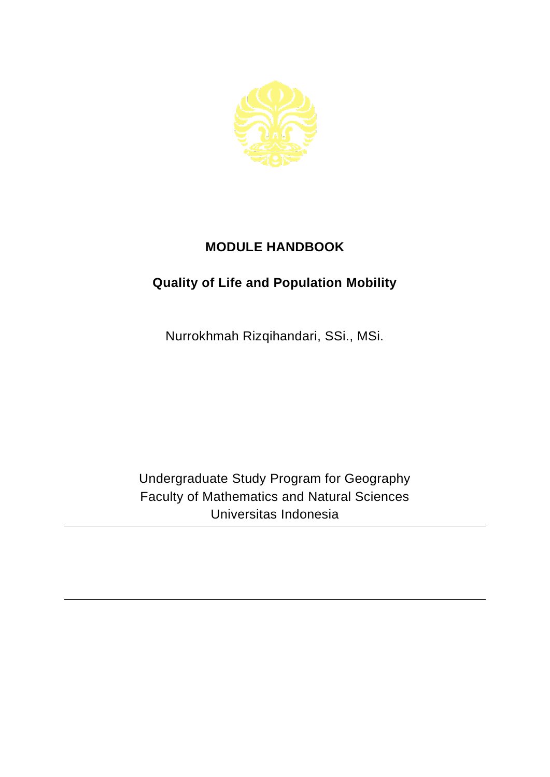

## **MODULE HANDBOOK**

## **Quality of Life and Population Mobility**

Nurrokhmah Rizqihandari, SSi., MSi.

Undergraduate Study Program for Geography Faculty of Mathematics and Natural Sciences Universitas Indonesia